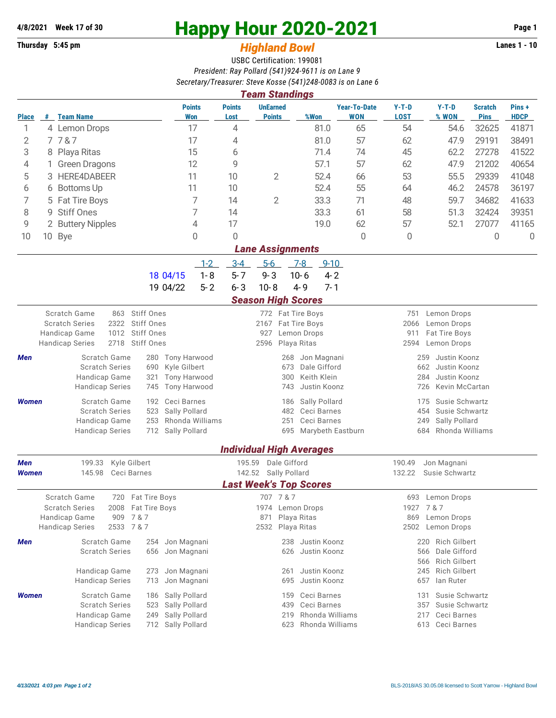## **Thursday 5:45 pm** *Highland Bowl* **Lanes 1 - 10**

## **4/8/2021 Week 17 of 30 Happy Hour 2020-2021 Page 1**

## USBC Certification: 199081 *President: Ray Pollard (541)924-9611 is on Lane 9 Secretary/Treasurer: Steve Kosse (541)248-0083 is on Lane 6*

| <b>Team Standings</b>                                                                                                                               |                                       |                                                       |                                |                              |                                                        |                                  |                                            |                  |                                   |                                         |                                  |                               |                      |  |  |  |
|-----------------------------------------------------------------------------------------------------------------------------------------------------|---------------------------------------|-------------------------------------------------------|--------------------------------|------------------------------|--------------------------------------------------------|----------------------------------|--------------------------------------------|------------------|-----------------------------------|-----------------------------------------|----------------------------------|-------------------------------|----------------------|--|--|--|
| <b>Place</b>                                                                                                                                        |                                       | # Team Name                                           |                                | <b>Points</b><br>Won         | <b>Points</b><br>Lost                                  | <b>UnEarned</b><br><b>Points</b> | %Won                                       |                  | <b>Year-To-Date</b><br><b>WON</b> | $Y-T-D$<br><b>LOST</b>                  | $Y-T-D$<br>% WON                 | <b>Scratch</b><br><b>Pins</b> | Pins+<br><b>HDCP</b> |  |  |  |
| 1                                                                                                                                                   |                                       | 4 Lemon Drops                                         |                                | 17                           | 4                                                      |                                  |                                            | 81.0             | 65                                | 54                                      | 54.6                             | 32625                         | 41871                |  |  |  |
| 2                                                                                                                                                   |                                       | 7787                                                  |                                | 17                           | 4                                                      |                                  |                                            | 81.0             | 57                                | 62                                      | 47.9                             | 29191                         | 38491                |  |  |  |
| 3                                                                                                                                                   |                                       | 8 Playa Ritas                                         |                                | 15                           | 6                                                      |                                  |                                            | 71.4             | 74                                | 45                                      | 62.2                             | 27278                         | 41522                |  |  |  |
| 4                                                                                                                                                   |                                       | <b>Green Dragons</b>                                  |                                | 12                           | 9                                                      |                                  |                                            | 57.1             | 57                                | 62                                      | 47.9                             | 21202                         | 40654                |  |  |  |
| 5                                                                                                                                                   |                                       | <b>HERE4DABEER</b>                                    |                                | 11                           | 10                                                     | 2                                |                                            | 52.4             | 66                                | 53                                      | 55.5                             | 29339                         | 41048                |  |  |  |
| 6                                                                                                                                                   |                                       | 6 Bottoms Up                                          |                                | 11                           | 10                                                     |                                  |                                            | 52.4             | 55                                | 64                                      | 46.2                             | 24578                         | 36197                |  |  |  |
| 7                                                                                                                                                   |                                       | 5 Fat Tire Boys                                       |                                | 7                            | 14                                                     | $\overline{2}$                   |                                            | 33.3             | 71                                | 48                                      | 59.7                             | 34682                         | 41633                |  |  |  |
| 8                                                                                                                                                   | 9 Stiff Ones                          |                                                       |                                | 7                            | 14                                                     |                                  |                                            | 33.3             | 61                                | 58                                      | 51.3                             | 32424                         | 39351                |  |  |  |
| 9                                                                                                                                                   | 2 Buttery Nipples                     |                                                       |                                | 4                            | 17                                                     |                                  |                                            | 19.0             | 62                                | 57                                      | 52.1                             | 27077                         | 41165                |  |  |  |
| 10                                                                                                                                                  |                                       | 10 Bye                                                |                                | 0                            | 0                                                      |                                  |                                            |                  | 0                                 | 0                                       |                                  | 0                             | $\overline{0}$       |  |  |  |
|                                                                                                                                                     |                                       |                                                       |                                |                              |                                                        |                                  | <b>Lane Assignments</b>                    |                  |                                   |                                         |                                  |                               |                      |  |  |  |
|                                                                                                                                                     |                                       |                                                       |                                | $1 - 2$                      | $3 - 4$                                                | $5-6$                            | $7-8$                                      | $9 - 10$         |                                   |                                         |                                  |                               |                      |  |  |  |
|                                                                                                                                                     |                                       |                                                       | 18 04/15                       | $1 - 8$                      | $5 - 7$                                                | $9 - 3$                          | $10 - 6$                                   | $4 - 2$          |                                   |                                         |                                  |                               |                      |  |  |  |
|                                                                                                                                                     |                                       |                                                       | 19 04/22                       | $5 - 2$                      | $6 - 3$                                                | $10 - 8$                         | $4 - 9$                                    | $7 - 1$          |                                   |                                         |                                  |                               |                      |  |  |  |
|                                                                                                                                                     |                                       |                                                       |                                |                              |                                                        |                                  | <b>Season High Scores</b>                  |                  |                                   |                                         |                                  |                               |                      |  |  |  |
|                                                                                                                                                     |                                       | Scratch Game<br>863<br><b>Scratch Series</b><br>2322  | Stiff Ones<br>Stiff Ones       |                              |                                                        |                                  | 772 Fat Tire Boys<br>2167 Fat Tire Boys    |                  |                                   | 751<br>2066                             | Lemon Drops<br>Lemon Drops       |                               |                      |  |  |  |
| Stiff Ones<br>Handicap Game<br>1012                                                                                                                 |                                       |                                                       |                                |                              |                                                        | 927<br>Lemon Drops               |                                            |                  |                                   |                                         | 911<br>Fat Tire Boys             |                               |                      |  |  |  |
|                                                                                                                                                     |                                       | 2718<br><b>Handicap Series</b>                        | Stiff Ones                     |                              |                                                        |                                  | Playa Ritas                                |                  |                                   | 2594<br>Lemon Drops                     |                                  |                               |                      |  |  |  |
| Men                                                                                                                                                 | Scratch Game<br>280                   |                                                       |                                | <b>Tony Harwood</b>          |                                                        | Jon Magnani<br>268               |                                            |                  |                                   |                                         | 259<br>Justin Koonz              |                               |                      |  |  |  |
| <b>Scratch Series</b><br>Kyle Gilbert<br>690<br>Handicap Game<br><b>Tony Harwood</b><br>321<br><b>Handicap Series</b><br>745<br><b>Tony Harwood</b> |                                       |                                                       |                                |                              |                                                        | 673                              | Dale Gifford                               |                  | 662<br>Justin Koonz<br>284        |                                         |                                  |                               |                      |  |  |  |
|                                                                                                                                                     |                                       |                                                       |                                |                              | Keith Klein<br>300<br>743<br>Justin Koonz              |                                  |                                            |                  |                                   | Justin Koonz<br>726<br>Kevin McCartan   |                                  |                               |                      |  |  |  |
|                                                                                                                                                     |                                       |                                                       |                                |                              |                                                        |                                  |                                            |                  |                                   |                                         |                                  |                               |                      |  |  |  |
| <b>Women</b>                                                                                                                                        |                                       | Scratch Game<br><b>Scratch Series</b>                 | 192<br>523                     | Ceci Barnes<br>Sally Pollard |                                                        |                                  | Sally Pollard<br>186<br>482<br>Ceci Barnes |                  |                                   | 175<br>454                              | Susie Schwartz<br>Susie Schwartz |                               |                      |  |  |  |
|                                                                                                                                                     |                                       | Handicap Game                                         | 253                            | Rhonda Williams              |                                                        |                                  | 251                                        | Ceci Barnes      |                                   | 249                                     | Sally Pollard                    |                               |                      |  |  |  |
|                                                                                                                                                     |                                       | <b>Handicap Series</b>                                | 712                            | Sally Pollard                |                                                        |                                  | 695                                        |                  | Marybeth Eastburn                 | 684                                     | Rhonda Williams                  |                               |                      |  |  |  |
|                                                                                                                                                     |                                       |                                                       |                                |                              |                                                        |                                  | <b>Individual High Averages</b>            |                  |                                   |                                         |                                  |                               |                      |  |  |  |
| Kyle Gilbert<br>Men<br>199.33                                                                                                                       |                                       |                                                       | 195.59                         | Dale Gifford                 |                                                        |                                  |                                            | 190.49           | Jon Magnani                       |                                         |                                  |                               |                      |  |  |  |
|                                                                                                                                                     | 145.98<br>Ceci Barnes<br><b>Women</b> |                                                       |                                |                              |                                                        | 142.52 Sally Pollard             |                                            |                  |                                   | 132.22<br>Susie Schwartz                |                                  |                               |                      |  |  |  |
|                                                                                                                                                     |                                       |                                                       |                                |                              |                                                        |                                  | <b>Last Week's Top Scores</b>              |                  |                                   |                                         |                                  |                               |                      |  |  |  |
|                                                                                                                                                     |                                       | Scratch Game                                          | 720 Fat Tire Boys              |                              |                                                        | 707 7 & 7                        |                                            |                  |                                   | 693                                     | Lemon Drops                      |                               |                      |  |  |  |
|                                                                                                                                                     |                                       | <b>Scratch Series</b><br>2008<br>Handicap Game<br>909 | Fat Tire Boys<br>7 & 7         |                              |                                                        | 871                              | 1974 Lemon Drops<br>Playa Ritas            |                  |                                   | 1927<br>869                             | 7 & 7<br>Lemon Drops             |                               |                      |  |  |  |
|                                                                                                                                                     |                                       | 2533 7 & 7<br><b>Handicap Series</b>                  |                                |                              |                                                        |                                  | 2532 Playa Ritas                           |                  |                                   |                                         | 2502 Lemon Drops                 |                               |                      |  |  |  |
| Men                                                                                                                                                 |                                       | Scratch Game                                          | 254                            | Jon Magnani                  |                                                        |                                  | 238 Justin Koonz                           |                  |                                   |                                         | 220 Rich Gilbert                 |                               |                      |  |  |  |
|                                                                                                                                                     | <b>Scratch Series</b><br>656          |                                                       |                                | Jon Magnani                  |                                                        |                                  |                                            | 626 Justin Koonz |                                   |                                         | Dale Gifford<br>566              |                               |                      |  |  |  |
|                                                                                                                                                     |                                       |                                                       |                                |                              |                                                        |                                  | 566                                        |                  |                                   | <b>Rich Gilbert</b>                     |                                  |                               |                      |  |  |  |
|                                                                                                                                                     |                                       | Handicap Game<br><b>Handicap Series</b>               | Jon Magnani<br>Jon Magnani     |                              |                                                        | 261<br>695                       | Justin Koonz<br>Justin Koonz               |                  |                                   | 245<br>Rich Gilbert<br>lan Ruter<br>657 |                                  |                               |                      |  |  |  |
|                                                                                                                                                     |                                       |                                                       | 713<br>186                     |                              |                                                        |                                  |                                            |                  |                                   |                                         |                                  |                               |                      |  |  |  |
| <b>Women</b>                                                                                                                                        |                                       | Scratch Game<br><b>Scratch Series</b>                 | Sally Pollard<br>Sally Pollard |                              | Ceci Barnes<br>159<br>131<br>Ceci Barnes<br>357<br>439 |                                  |                                            |                  |                                   | Susie Schwartz                          | Susie Schwartz                   |                               |                      |  |  |  |
|                                                                                                                                                     |                                       | Handicap Game                                         | 523<br>249                     | Sally Pollard                | Rhonda Williams<br>219<br>217                          |                                  |                                            |                  |                                   | Ceci Barnes                             |                                  |                               |                      |  |  |  |
|                                                                                                                                                     |                                       | <b>Handicap Series</b>                                | 712 Sally Pollard              | Rhonda Williams<br>623       |                                                        |                                  |                                            |                  |                                   | Ceci Barnes<br>613                      |                                  |                               |                      |  |  |  |